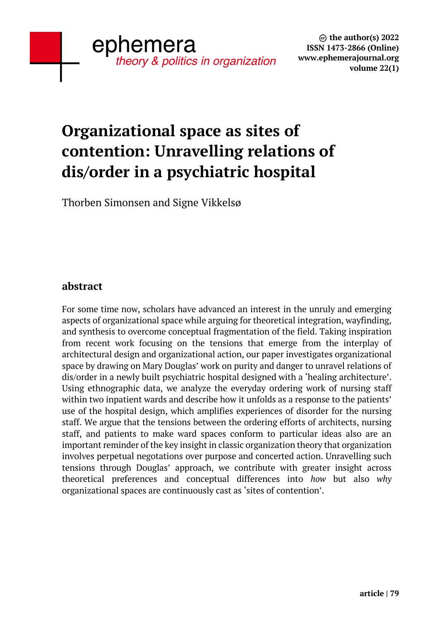# **Organizational space as sites of contention: Unravelling relations of dis/order in a psychiatric hospital**

Thorben Simonsen and Signe Vikkelsø

## **abstract**

For some time now, scholars have advanced an interest in the unruly and emerging aspects of organizational space while arguing for theoretical integration, wayfinding, and synthesis to overcome conceptual fragmentation of the field. Taking inspiration from recent work focusing on the tensions that emerge from the interplay of architectural design and organizational action, our paper investigates organizational space by drawing on Mary Douglas' work on purity and danger to unravel relations of dis/order in a newly built psychiatric hospital designed with a 'healing architecture'. Using ethnographic data, we analyze the everyday ordering work of nursing staff within two inpatient wards and describe how it unfolds as a response to the patients' use of the hospital design, which amplifies experiences of disorder for the nursing staff. We argue that the tensions between the ordering efforts of architects, nursing staff, and patients to make ward spaces conform to particular ideas also are an important reminder of the key insight in classic organization theory that organization involves perpetual negotations over purpose and concerted action. Unravelling such tensions through Douglas' approach, we contribute with greater insight across theoretical preferences and conceptual differences into *how* but also *why*  organizational spaces are continuously cast as 'sites of contention'.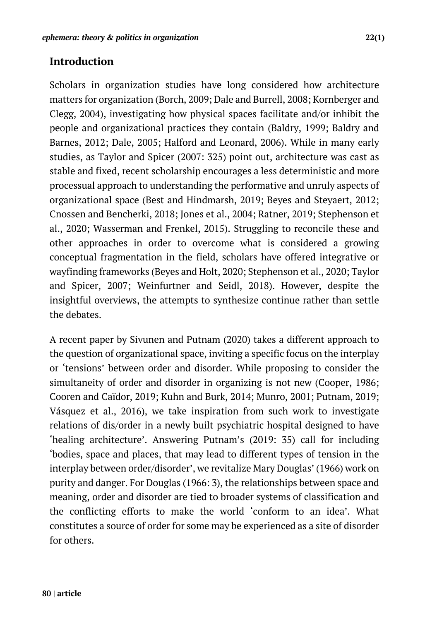## **Introduction**

Scholars in organization studies have long considered how architecture matters for organization (Borch, 2009; Dale and Burrell, 2008; Kornberger and Clegg, 2004), investigating how physical spaces facilitate and/or inhibit the people and organizational practices they contain (Baldry, 1999; Baldry and Barnes, 2012; Dale, 2005; Halford and Leonard, 2006). While in many early studies, as Taylor and Spicer (2007: 325) point out, architecture was cast as stable and fixed, recent scholarship encourages a less deterministic and more processual approach to understanding the performative and unruly aspects of organizational space (Best and Hindmarsh, 2019; Beyes and Steyaert, 2012; Cnossen and Bencherki, 2018; Jones et al., 2004; Ratner, 2019; Stephenson et al., 2020; Wasserman and Frenkel, 2015). Struggling to reconcile these and other approaches in order to overcome what is considered a growing conceptual fragmentation in the field, scholars have offered integrative or wayfinding frameworks (Beyes and Holt, 2020; Stephenson et al., 2020; Taylor and Spicer, 2007; Weinfurtner and Seidl, 2018). However, despite the insightful overviews, the attempts to synthesize continue rather than settle the debates.

A recent paper by Sivunen and Putnam (2020) takes a different approach to the question of organizational space, inviting a specific focus on the interplay or 'tensions' between order and disorder. While proposing to consider the simultaneity of order and disorder in organizing is not new (Cooper, 1986; Cooren and Caïdor, 2019; Kuhn and Burk, 2014; Munro, 2001; Putnam, 2019; Vásquez et al., 2016), we take inspiration from such work to investigate relations of dis/order in a newly built psychiatric hospital designed to have 'healing architecture'. Answering Putnam's (2019: 35) call for including 'bodies, space and places, that may lead to different types of tension in the interplay between order/disorder', we revitalize Mary Douglas' (1966) work on purity and danger. For Douglas (1966: 3), the relationships between space and meaning, order and disorder are tied to broader systems of classification and the conflicting efforts to make the world 'conform to an idea'. What constitutes a source of order for some may be experienced as a site of disorder for others.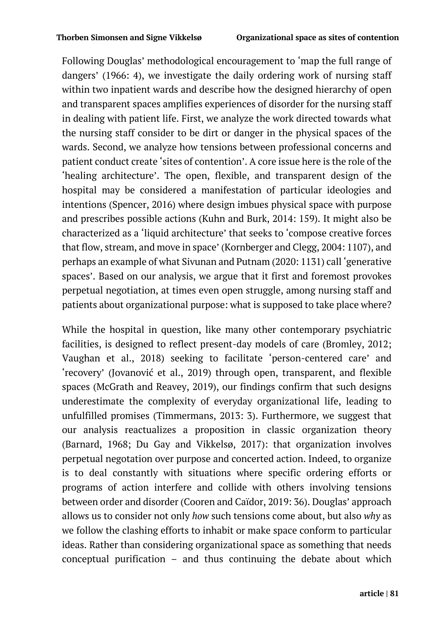Following Douglas' methodological encouragement to 'map the full range of dangers' (1966: 4), we investigate the daily ordering work of nursing staff within two inpatient wards and describe how the designed hierarchy of open and transparent spaces amplifies experiences of disorder for the nursing staff in dealing with patient life. First, we analyze the work directed towards what the nursing staff consider to be dirt or danger in the physical spaces of the wards. Second, we analyze how tensions between professional concerns and patient conduct create 'sites of contention'. A core issue here is the role of the 'healing architecture'. The open, flexible, and transparent design of the hospital may be considered a manifestation of particular ideologies and intentions (Spencer, 2016) where design imbues physical space with purpose and prescribes possible actions (Kuhn and Burk, 2014: 159). It might also be characterized as a 'liquid architecture' that seeks to 'compose creative forces that flow, stream, and move in space' (Kornberger and Clegg, 2004: 1107), and perhaps an example of what Sivunan and Putnam (2020: 1131) call 'generative spaces'. Based on our analysis, we argue that it first and foremost provokes perpetual negotiation, at times even open struggle, among nursing staff and patients about organizational purpose: what is supposed to take place where?

While the hospital in question, like many other contemporary psychiatric facilities, is designed to reflect present-day models of care (Bromley, 2012; Vaughan et al., 2018) seeking to facilitate 'person-centered care' and 'recovery' (Jovanović et al., 2019) through open, transparent, and flexible spaces (McGrath and Reavey, 2019), our findings confirm that such designs underestimate the complexity of everyday organizational life, leading to unfulfilled promises (Timmermans, 2013: 3). Furthermore, we suggest that our analysis reactualizes a proposition in classic organization theory (Barnard, 1968; Du Gay and Vikkelsø, 2017): that organization involves perpetual negotation over purpose and concerted action. Indeed, to organize is to deal constantly with situations where specific ordering efforts or programs of action interfere and collide with others involving tensions between order and disorder (Cooren and Caïdor, 2019: 36). Douglas' approach allows us to consider not only *how* such tensions come about, but also *why* as we follow the clashing efforts to inhabit or make space conform to particular ideas. Rather than considering organizational space as something that needs conceptual purification – and thus continuing the debate about which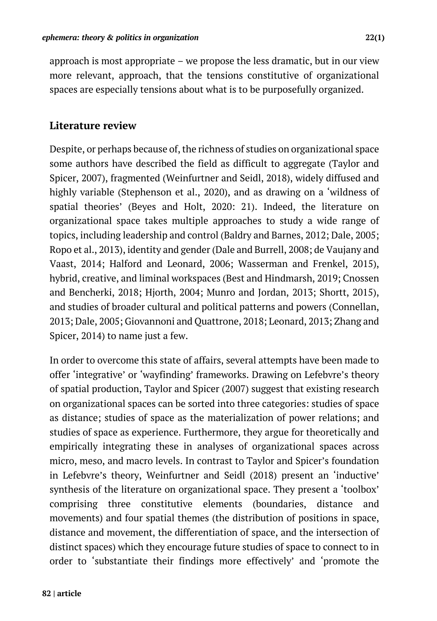approach is most appropriate – we propose the less dramatic, but in our view more relevant, approach, that the tensions constitutive of organizational spaces are especially tensions about what is to be purposefully organized.

# **Literature review**

Despite, or perhaps because of, the richness of studies on organizational space some authors have described the field as difficult to aggregate (Taylor and Spicer, 2007), fragmented (Weinfurtner and Seidl, 2018), widely diffused and highly variable (Stephenson et al., 2020), and as drawing on a 'wildness of spatial theories' (Beyes and Holt, 2020: 21). Indeed, the literature on organizational space takes multiple approaches to study a wide range of topics, including leadership and control (Baldry and Barnes, 2012; Dale, 2005; Ropo et al., 2013), identity and gender (Dale and Burrell, 2008; de Vaujany and Vaast, 2014; Halford and Leonard, 2006; Wasserman and Frenkel, 2015), hybrid, creative, and liminal workspaces (Best and Hindmarsh, 2019; Cnossen and Bencherki, 2018; Hjorth, 2004; Munro and Jordan, 2013; Shortt, 2015), and studies of broader cultural and political patterns and powers (Connellan, 2013; Dale, 2005; Giovannoni and Quattrone, 2018; Leonard, 2013; Zhang and Spicer, 2014) to name just a few.

In order to overcome this state of affairs, several attempts have been made to offer 'integrative' or 'wayfinding' frameworks. Drawing on Lefebvre's theory of spatial production, Taylor and Spicer (2007) suggest that existing research on organizational spaces can be sorted into three categories: studies of space as distance; studies of space as the materialization of power relations; and studies of space as experience. Furthermore, they argue for theoretically and empirically integrating these in analyses of organizational spaces across micro, meso, and macro levels. In contrast to Taylor and Spicer's foundation in Lefebvre's theory, Weinfurtner and Seidl (2018) present an 'inductive' synthesis of the literature on organizational space. They present a 'toolbox' comprising three constitutive elements (boundaries, distance and movements) and four spatial themes (the distribution of positions in space, distance and movement, the differentiation of space, and the intersection of distinct spaces) which they encourage future studies of space to connect to in order to 'substantiate their findings more effectively' and 'promote the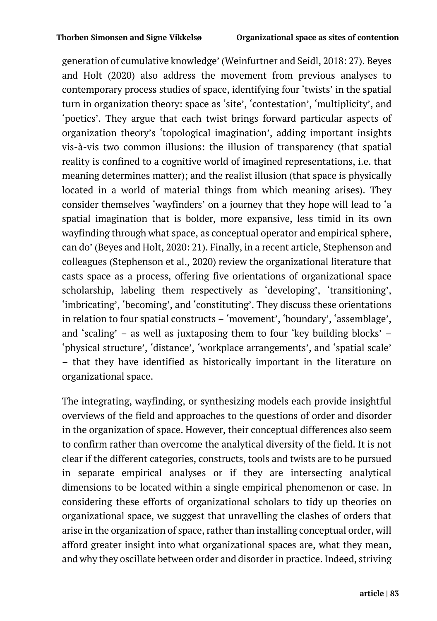generation of cumulative knowledge' (Weinfurtner and Seidl, 2018: 27). Beyes and Holt (2020) also address the movement from previous analyses to contemporary process studies of space, identifying four 'twists' in the spatial turn in organization theory: space as 'site', 'contestation', 'multiplicity', and 'poetics'. They argue that each twist brings forward particular aspects of organization theory's 'topological imagination', adding important insights vis-à-vis two common illusions: the illusion of transparency (that spatial reality is confined to a cognitive world of imagined representations, i.e. that meaning determines matter); and the realist illusion (that space is physically located in a world of material things from which meaning arises). They consider themselves 'wayfinders' on a journey that they hope will lead to 'a spatial imagination that is bolder, more expansive, less timid in its own wayfinding through what space, as conceptual operator and empirical sphere, can do' (Beyes and Holt, 2020: 21). Finally, in a recent article, Stephenson and colleagues (Stephenson et al., 2020) review the organizational literature that casts space as a process, offering five orientations of organizational space scholarship, labeling them respectively as 'developing', 'transitioning', 'imbricating', 'becoming', and 'constituting'. They discuss these orientations in relation to four spatial constructs – 'movement', 'boundary', 'assemblage', and 'scaling' – as well as juxtaposing them to four 'key building blocks' – 'physical structure', 'distance', 'workplace arrangements', and 'spatial scale' – that they have identified as historically important in the literature on organizational space.

The integrating, wayfinding, or synthesizing models each provide insightful overviews of the field and approaches to the questions of order and disorder in the organization of space. However, their conceptual differences also seem to confirm rather than overcome the analytical diversity of the field. It is not clear if the different categories, constructs, tools and twists are to be pursued in separate empirical analyses or if they are intersecting analytical dimensions to be located within a single empirical phenomenon or case. In considering these efforts of organizational scholars to tidy up theories on organizational space, we suggest that unravelling the clashes of orders that arise in the organization of space, rather than installing conceptual order, will afford greater insight into what organizational spaces are, what they mean, and why they oscillate between order and disorder in practice. Indeed, striving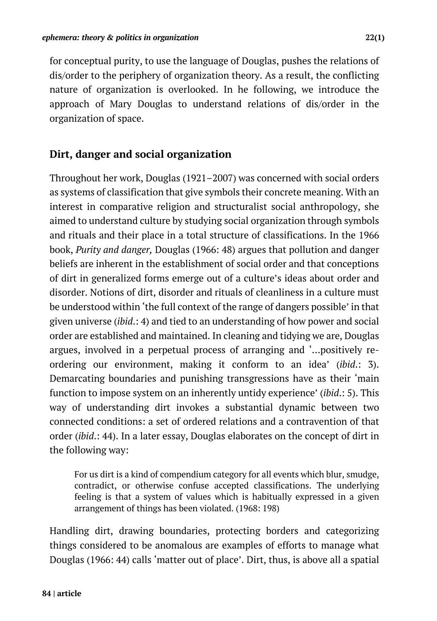for conceptual purity, to use the language of Douglas, pushes the relations of dis/order to the periphery of organization theory. As a result, the conflicting nature of organization is overlooked. In he following, we introduce the approach of Mary Douglas to understand relations of dis/order in the organization of space.

# **Dirt, danger and social organization**

Throughout her work, Douglas (1921–2007) was concerned with social orders as systems of classification that give symbols their concrete meaning. With an interest in comparative religion and structuralist social anthropology, she aimed to understand culture by studying social organization through symbols and rituals and their place in a total structure of classifications. In the 1966 book, *Purity and danger,* Douglas (1966: 48) argues that pollution and danger beliefs are inherent in the establishment of social order and that conceptions of dirt in generalized forms emerge out of a culture's ideas about order and disorder. Notions of dirt, disorder and rituals of cleanliness in a culture must be understood within 'the full context of the range of dangers possible' in that given universe (*ibid*.: 4) and tied to an understanding of how power and social order are established and maintained. In cleaning and tidying we are, Douglas argues, involved in a perpetual process of arranging and '…positively reordering our environment, making it conform to an idea' (*ibid*.: 3). Demarcating boundaries and punishing transgressions have as their 'main function to impose system on an inherently untidy experience' (*ibid*.: 5). This way of understanding dirt invokes a substantial dynamic between two connected conditions: a set of ordered relations and a contravention of that order (*ibid*.: 44). In a later essay, Douglas elaborates on the concept of dirt in the following way:

For us dirt is a kind of compendium category for all events which blur, smudge, contradict, or otherwise confuse accepted classifications. The underlying feeling is that a system of values which is habitually expressed in a given arrangement of things has been violated. (1968: 198)

Handling dirt, drawing boundaries, protecting borders and categorizing things considered to be anomalous are examples of efforts to manage what Douglas (1966: 44) calls 'matter out of place'. Dirt, thus, is above all a spatial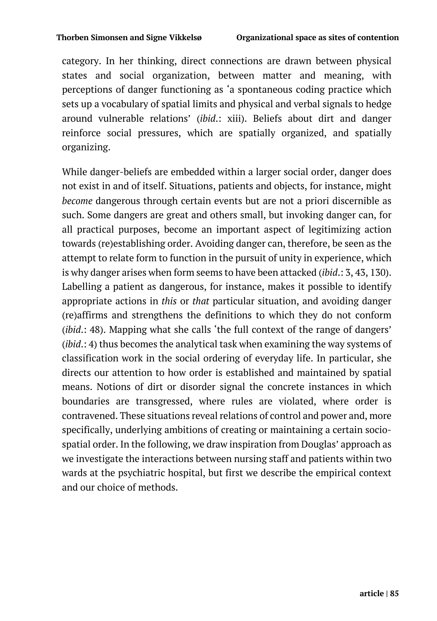category. In her thinking, direct connections are drawn between physical states and social organization, between matter and meaning, with perceptions of danger functioning as 'a spontaneous coding practice which sets up a vocabulary of spatial limits and physical and verbal signals to hedge around vulnerable relations' (*ibid*.: xiii). Beliefs about dirt and danger reinforce social pressures, which are spatially organized, and spatially organizing.

While danger-beliefs are embedded within a larger social order, danger does not exist in and of itself. Situations, patients and objects, for instance, might *become* dangerous through certain events but are not a priori discernible as such. Some dangers are great and others small, but invoking danger can, for all practical purposes, become an important aspect of legitimizing action towards (re)establishing order. Avoiding danger can, therefore, be seen as the attempt to relate form to function in the pursuit of unity in experience, which is why danger arises when form seems to have been attacked (*ibid*.: 3, 43, 130). Labelling a patient as dangerous, for instance, makes it possible to identify appropriate actions in *this* or *that* particular situation, and avoiding danger (re)affirms and strengthens the definitions to which they do not conform (*ibid*.: 48). Mapping what she calls 'the full context of the range of dangers' (*ibid*.: 4) thus becomes the analytical task when examining the way systems of classification work in the social ordering of everyday life. In particular, she directs our attention to how order is established and maintained by spatial means. Notions of dirt or disorder signal the concrete instances in which boundaries are transgressed, where rules are violated, where order is contravened. These situations reveal relations of control and power and, more specifically, underlying ambitions of creating or maintaining a certain sociospatial order. In the following, we draw inspiration from Douglas' approach as we investigate the interactions between nursing staff and patients within two wards at the psychiatric hospital, but first we describe the empirical context and our choice of methods.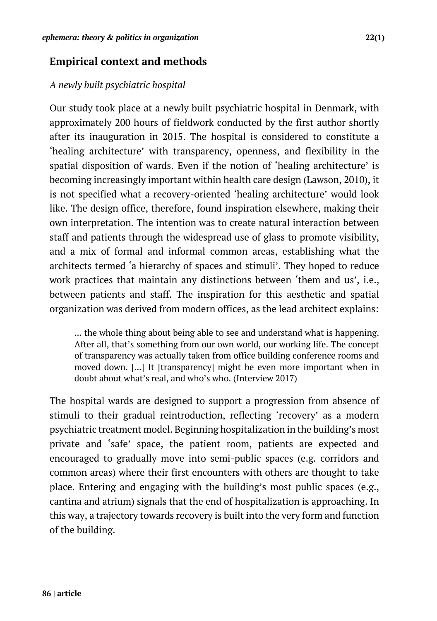# **Empirical context and methods**

## *A newly built psychiatric hospital*

Our study took place at a newly built psychiatric hospital in Denmark, with approximately 200 hours of fieldwork conducted by the first author shortly after its inauguration in 2015. The hospital is considered to constitute a 'healing architecture' with transparency, openness, and flexibility in the spatial disposition of wards. Even if the notion of 'healing architecture' is becoming increasingly important within health care design (Lawson, 2010), it is not specified what a recovery-oriented 'healing architecture' would look like. The design office, therefore, found inspiration elsewhere, making their own interpretation. The intention was to create natural interaction between staff and patients through the widespread use of glass to promote visibility, and a mix of formal and informal common areas, establishing what the architects termed 'a hierarchy of spaces and stimuli'. They hoped to reduce work practices that maintain any distinctions between 'them and us', i.e., between patients and staff. The inspiration for this aesthetic and spatial organization was derived from modern offices, as the lead architect explains:

... the whole thing about being able to see and understand what is happening. After all, that's something from our own world, our working life. The concept of transparency was actually taken from office building conference rooms and moved down. [...] It [transparency] might be even more important when in doubt about what's real, and who's who. (Interview 2017)

The hospital wards are designed to support a progression from absence of stimuli to their gradual reintroduction, reflecting 'recovery' as a modern psychiatric treatment model. Beginning hospitalization in the building's most private and 'safe' space, the patient room, patients are expected and encouraged to gradually move into semi-public spaces (e.g. corridors and common areas) where their first encounters with others are thought to take place. Entering and engaging with the building's most public spaces (e.g., cantina and atrium) signals that the end of hospitalization is approaching. In this way, a trajectory towards recovery is built into the very form and function of the building.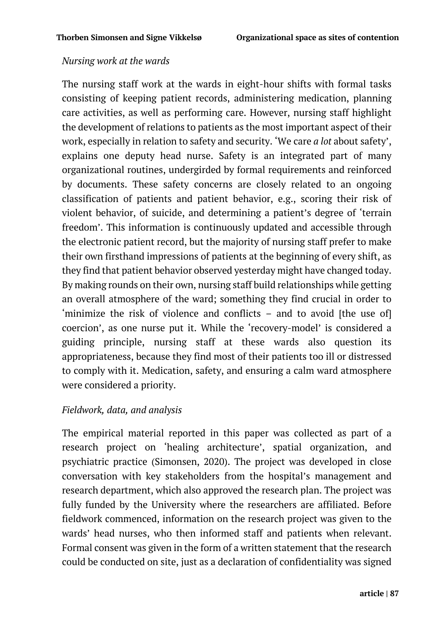#### *Nursing work at the wards*

The nursing staff work at the wards in eight-hour shifts with formal tasks consisting of keeping patient records, administering medication, planning care activities, as well as performing care. However, nursing staff highlight the development of relations to patients as the most important aspect of their work, especially in relation to safety and security. 'We care *a lot* about safety', explains one deputy head nurse. Safety is an integrated part of many organizational routines, undergirded by formal requirements and reinforced by documents. These safety concerns are closely related to an ongoing classification of patients and patient behavior, e.g., scoring their risk of violent behavior, of suicide, and determining a patient's degree of 'terrain freedom'. This information is continuously updated and accessible through the electronic patient record, but the majority of nursing staff prefer to make their own firsthand impressions of patients at the beginning of every shift, as they find that patient behavior observed yesterday might have changed today. By making rounds on their own, nursing staff build relationships while getting an overall atmosphere of the ward; something they find crucial in order to 'minimize the risk of violence and conflicts – and to avoid [the use of] coercion', as one nurse put it. While the 'recovery-model' is considered a guiding principle, nursing staff at these wards also question its appropriateness, because they find most of their patients too ill or distressed to comply with it. Medication, safety, and ensuring a calm ward atmosphere were considered a priority.

### *Fieldwork, data, and analysis*

The empirical material reported in this paper was collected as part of a research project on 'healing architecture', spatial organization, and psychiatric practice (Simonsen, 2020). The project was developed in close conversation with key stakeholders from the hospital's management and research department, which also approved the research plan. The project was fully funded by the University where the researchers are affiliated. Before fieldwork commenced, information on the research project was given to the wards' head nurses, who then informed staff and patients when relevant. Formal consent was given in the form of a written statement that the research could be conducted on site, just as a declaration of confidentiality was signed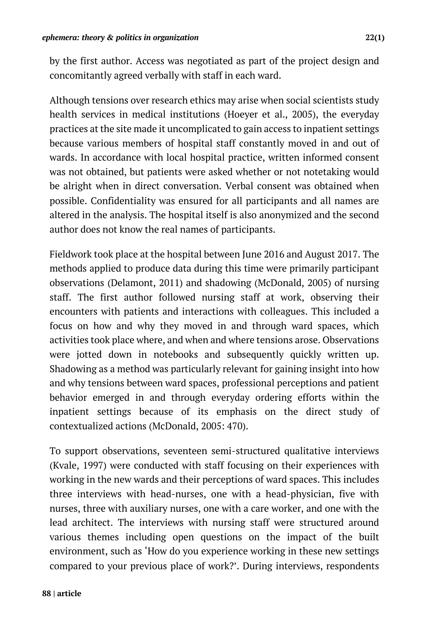by the first author. Access was negotiated as part of the project design and concomitantly agreed verbally with staff in each ward.

Although tensions over research ethics may arise when social scientists study health services in medical institutions (Hoeyer et al., 2005), the everyday practices at the site made it uncomplicated to gain access to inpatient settings because various members of hospital staff constantly moved in and out of wards. In accordance with local hospital practice, written informed consent was not obtained, but patients were asked whether or not notetaking would be alright when in direct conversation. Verbal consent was obtained when possible. Confidentiality was ensured for all participants and all names are altered in the analysis. The hospital itself is also anonymized and the second author does not know the real names of participants.

Fieldwork took place at the hospital between June 2016 and August 2017. The methods applied to produce data during this time were primarily participant observations (Delamont, 2011) and shadowing (McDonald, 2005) of nursing staff. The first author followed nursing staff at work, observing their encounters with patients and interactions with colleagues. This included a focus on how and why they moved in and through ward spaces, which activities took place where, and when and where tensions arose. Observations were jotted down in notebooks and subsequently quickly written up. Shadowing as a method was particularly relevant for gaining insight into how and why tensions between ward spaces, professional perceptions and patient behavior emerged in and through everyday ordering efforts within the inpatient settings because of its emphasis on the direct study of contextualized actions (McDonald, 2005: 470).

To support observations, seventeen semi-structured qualitative interviews (Kvale, 1997) were conducted with staff focusing on their experiences with working in the new wards and their perceptions of ward spaces. This includes three interviews with head-nurses, one with a head-physician, five with nurses, three with auxiliary nurses, one with a care worker, and one with the lead architect. The interviews with nursing staff were structured around various themes including open questions on the impact of the built environment, such as 'How do you experience working in these new settings compared to your previous place of work?'. During interviews, respondents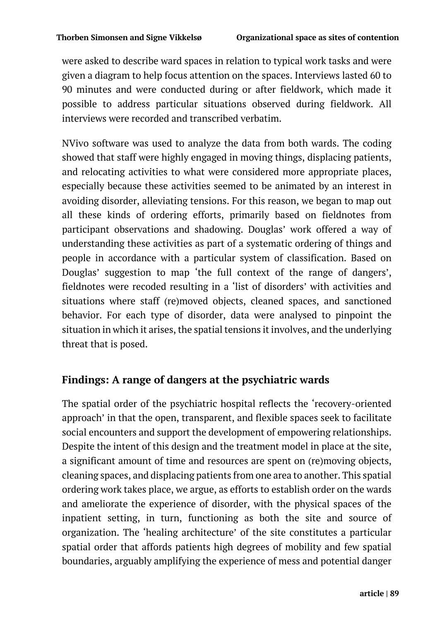were asked to describe ward spaces in relation to typical work tasks and were given a diagram to help focus attention on the spaces. Interviews lasted 60 to 90 minutes and were conducted during or after fieldwork, which made it possible to address particular situations observed during fieldwork. All interviews were recorded and transcribed verbatim.

NVivo software was used to analyze the data from both wards. The coding showed that staff were highly engaged in moving things, displacing patients, and relocating activities to what were considered more appropriate places, especially because these activities seemed to be animated by an interest in avoiding disorder, alleviating tensions. For this reason, we began to map out all these kinds of ordering efforts, primarily based on fieldnotes from participant observations and shadowing. Douglas' work offered a way of understanding these activities as part of a systematic ordering of things and people in accordance with a particular system of classification. Based on Douglas' suggestion to map 'the full context of the range of dangers', fieldnotes were recoded resulting in a 'list of disorders' with activities and situations where staff (re)moved objects, cleaned spaces, and sanctioned behavior. For each type of disorder, data were analysed to pinpoint the situation in which it arises, the spatial tensions it involves, and the underlying threat that is posed.

# **Findings: A range of dangers at the psychiatric wards**

The spatial order of the psychiatric hospital reflects the 'recovery-oriented approach' in that the open, transparent, and flexible spaces seek to facilitate social encounters and support the development of empowering relationships. Despite the intent of this design and the treatment model in place at the site, a significant amount of time and resources are spent on (re)moving objects, cleaning spaces, and displacing patients from one area to another. This spatial ordering work takes place, we argue, as efforts to establish order on the wards and ameliorate the experience of disorder, with the physical spaces of the inpatient setting, in turn, functioning as both the site and source of organization. The 'healing architecture' of the site constitutes a particular spatial order that affords patients high degrees of mobility and few spatial boundaries, arguably amplifying the experience of mess and potential danger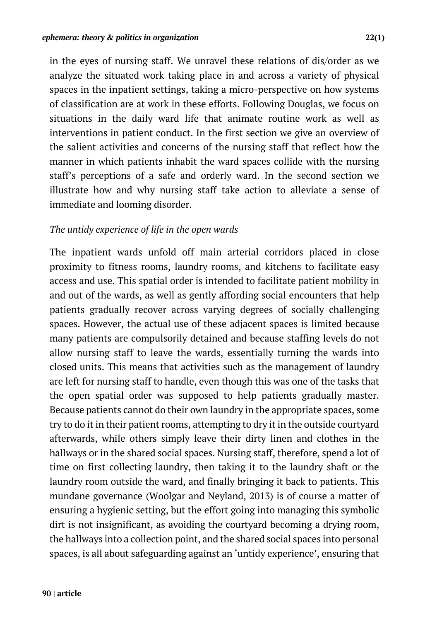in the eyes of nursing staff. We unravel these relations of dis/order as we analyze the situated work taking place in and across a variety of physical spaces in the inpatient settings, taking a micro-perspective on how systems of classification are at work in these efforts. Following Douglas, we focus on situations in the daily ward life that animate routine work as well as interventions in patient conduct. In the first section we give an overview of the salient activities and concerns of the nursing staff that reflect how the manner in which patients inhabit the ward spaces collide with the nursing staff's perceptions of a safe and orderly ward. In the second section we illustrate how and why nursing staff take action to alleviate a sense of immediate and looming disorder.

#### *The untidy experience of life in the open wards*

The inpatient wards unfold off main arterial corridors placed in close proximity to fitness rooms, laundry rooms, and kitchens to facilitate easy access and use. This spatial order is intended to facilitate patient mobility in and out of the wards, as well as gently affording social encounters that help patients gradually recover across varying degrees of socially challenging spaces. However, the actual use of these adjacent spaces is limited because many patients are compulsorily detained and because staffing levels do not allow nursing staff to leave the wards, essentially turning the wards into closed units. This means that activities such as the management of laundry are left for nursing staff to handle, even though this was one of the tasks that the open spatial order was supposed to help patients gradually master. Because patients cannot do their own laundry in the appropriate spaces, some try to do it in their patient rooms, attempting to dry it in the outside courtyard afterwards, while others simply leave their dirty linen and clothes in the hallways or in the shared social spaces. Nursing staff, therefore, spend a lot of time on first collecting laundry, then taking it to the laundry shaft or the laundry room outside the ward, and finally bringing it back to patients. This mundane governance (Woolgar and Neyland, 2013) is of course a matter of ensuring a hygienic setting, but the effort going into managing this symbolic dirt is not insignificant, as avoiding the courtyard becoming a drying room, the hallways into a collection point, and the shared social spaces into personal spaces, is all about safeguarding against an 'untidy experience', ensuring that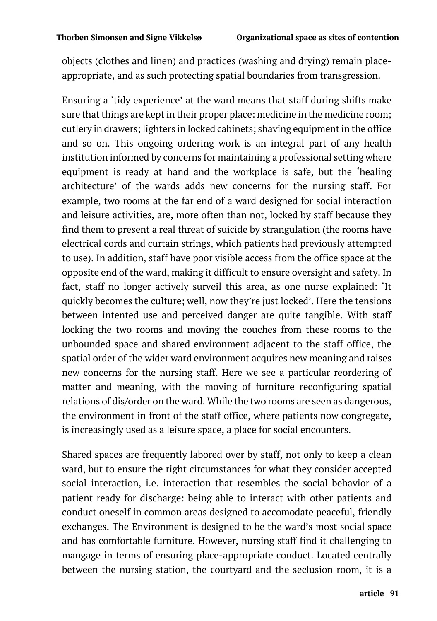objects (clothes and linen) and practices (washing and drying) remain placeappropriate, and as such protecting spatial boundaries from transgression.

Ensuring a 'tidy experience' at the ward means that staff during shifts make sure that things are kept in their proper place: medicine in the medicine room; cutlery in drawers; lighters in locked cabinets; shaving equipment in the office and so on. This ongoing ordering work is an integral part of any health institution informed by concerns for maintaining a professional setting where equipment is ready at hand and the workplace is safe, but the 'healing architecture' of the wards adds new concerns for the nursing staff. For example, two rooms at the far end of a ward designed for social interaction and leisure activities, are, more often than not, locked by staff because they find them to present a real threat of suicide by strangulation (the rooms have electrical cords and curtain strings, which patients had previously attempted to use). In addition, staff have poor visible access from the office space at the opposite end of the ward, making it difficult to ensure oversight and safety. In fact, staff no longer actively surveil this area, as one nurse explained: 'It quickly becomes the culture; well, now they're just locked'. Here the tensions between intented use and perceived danger are quite tangible. With staff locking the two rooms and moving the couches from these rooms to the unbounded space and shared environment adjacent to the staff office, the spatial order of the wider ward environment acquires new meaning and raises new concerns for the nursing staff. Here we see a particular reordering of matter and meaning, with the moving of furniture reconfiguring spatial relations of dis/order on the ward. While the two rooms are seen as dangerous, the environment in front of the staff office, where patients now congregate, is increasingly used as a leisure space, a place for social encounters.

Shared spaces are frequently labored over by staff, not only to keep a clean ward, but to ensure the right circumstances for what they consider accepted social interaction, i.e. interaction that resembles the social behavior of a patient ready for discharge: being able to interact with other patients and conduct oneself in common areas designed to accomodate peaceful, friendly exchanges. The Environment is designed to be the ward's most social space and has comfortable furniture. However, nursing staff find it challenging to mangage in terms of ensuring place-appropriate conduct. Located centrally between the nursing station, the courtyard and the seclusion room, it is a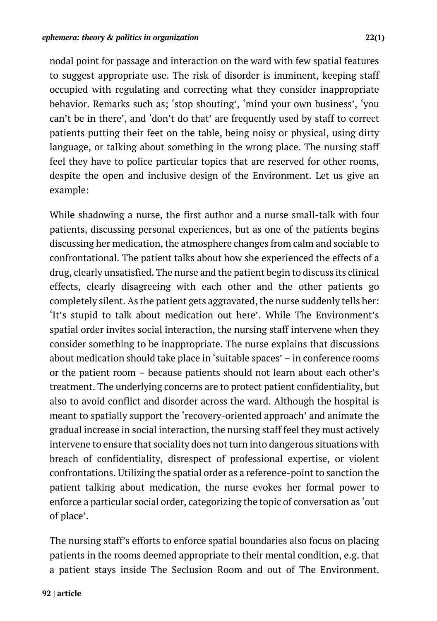nodal point for passage and interaction on the ward with few spatial features to suggest appropriate use. The risk of disorder is imminent, keeping staff occupied with regulating and correcting what they consider inappropriate behavior. Remarks such as; 'stop shouting', 'mind your own business', 'you can't be in there', and 'don't do that' are frequently used by staff to correct patients putting their feet on the table, being noisy or physical, using dirty language, or talking about something in the wrong place. The nursing staff feel they have to police particular topics that are reserved for other rooms, despite the open and inclusive design of the Environment. Let us give an example:

While shadowing a nurse, the first author and a nurse small-talk with four patients, discussing personal experiences, but as one of the patients begins discussing her medication, the atmosphere changes from calm and sociable to confrontational. The patient talks about how she experienced the effects of a drug, clearly unsatisfied. The nurse and the patient begin to discuss its clinical effects, clearly disagreeing with each other and the other patients go completely silent. As the patient gets aggravated, the nurse suddenly tells her: 'It's stupid to talk about medication out here'. While The Environment's spatial order invites social interaction, the nursing staff intervene when they consider something to be inappropriate. The nurse explains that discussions about medication should take place in 'suitable spaces' – in conference rooms or the patient room – because patients should not learn about each other's treatment. The underlying concerns are to protect patient confidentiality, but also to avoid conflict and disorder across the ward. Although the hospital is meant to spatially support the 'recovery-oriented approach' and animate the gradual increase in social interaction, the nursing staff feel they must actively intervene to ensure that sociality does not turn into dangerous situations with breach of confidentiality, disrespect of professional expertise, or violent confrontations. Utilizing the spatial order as a reference-point to sanction the patient talking about medication, the nurse evokes her formal power to enforce a particular social order, categorizing the topic of conversation as 'out of place'.

The nursing staff's efforts to enforce spatial boundaries also focus on placing patients in the rooms deemed appropriate to their mental condition, e.g. that a patient stays inside The Seclusion Room and out of The Environment.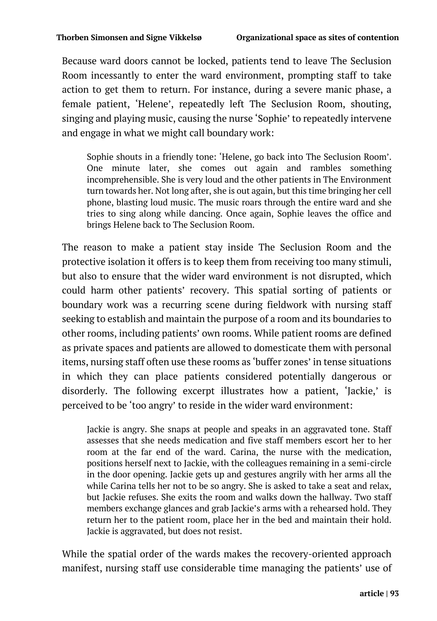Because ward doors cannot be locked, patients tend to leave The Seclusion Room incessantly to enter the ward environment, prompting staff to take action to get them to return. For instance, during a severe manic phase, a female patient, 'Helene', repeatedly left The Seclusion Room, shouting, singing and playing music, causing the nurse 'Sophie' to repeatedly intervene and engage in what we might call boundary work:

Sophie shouts in a friendly tone: 'Helene, go back into The Seclusion Room'. One minute later, she comes out again and rambles something incomprehensible. She is very loud and the other patients in The Environment turn towards her. Not long after, she is out again, but this time bringing her cell phone, blasting loud music. The music roars through the entire ward and she tries to sing along while dancing. Once again, Sophie leaves the office and brings Helene back to The Seclusion Room.

The reason to make a patient stay inside The Seclusion Room and the protective isolation it offers is to keep them from receiving too many stimuli, but also to ensure that the wider ward environment is not disrupted, which could harm other patients' recovery. This spatial sorting of patients or boundary work was a recurring scene during fieldwork with nursing staff seeking to establish and maintain the purpose of a room and its boundaries to other rooms, including patients' own rooms. While patient rooms are defined as private spaces and patients are allowed to domesticate them with personal items, nursing staff often use these rooms as 'buffer zones' in tense situations in which they can place patients considered potentially dangerous or disorderly. The following excerpt illustrates how a patient, 'Jackie,' is perceived to be 'too angry' to reside in the wider ward environment:

Jackie is angry. She snaps at people and speaks in an aggravated tone. Staff assesses that she needs medication and five staff members escort her to her room at the far end of the ward. Carina, the nurse with the medication, positions herself next to Jackie, with the colleagues remaining in a semi-circle in the door opening. Jackie gets up and gestures angrily with her arms all the while Carina tells her not to be so angry. She is asked to take a seat and relax, but Jackie refuses. She exits the room and walks down the hallway. Two staff members exchange glances and grab Jackie's arms with a rehearsed hold. They return her to the patient room, place her in the bed and maintain their hold. Jackie is aggravated, but does not resist.

While the spatial order of the wards makes the recovery-oriented approach manifest, nursing staff use considerable time managing the patients' use of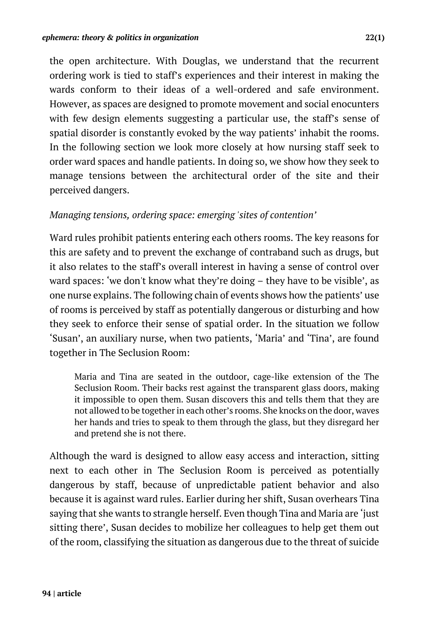the open architecture. With Douglas, we understand that the recurrent ordering work is tied to staff's experiences and their interest in making the wards conform to their ideas of a well-ordered and safe environment. However, as spaces are designed to promote movement and social enocunters with few design elements suggesting a particular use, the staff's sense of spatial disorder is constantly evoked by the way patients' inhabit the rooms. In the following section we look more closely at how nursing staff seek to order ward spaces and handle patients. In doing so, we show how they seek to manage tensions between the architectural order of the site and their perceived dangers.

### *Managing tensions, ordering space: emerging 'sites of contention'*

Ward rules prohibit patients entering each others rooms. The key reasons for this are safety and to prevent the exchange of contraband such as drugs, but it also relates to the staff's overall interest in having a sense of control over ward spaces: 'we don't know what they're doing – they have to be visible', as one nurse explains. The following chain of events shows how the patients' use of rooms is perceived by staff as potentially dangerous or disturbing and how they seek to enforce their sense of spatial order. In the situation we follow 'Susan', an auxiliary nurse, when two patients, 'Maria' and 'Tina', are found together in The Seclusion Room:

Maria and Tina are seated in the outdoor, cage-like extension of the The Seclusion Room. Their backs rest against the transparent glass doors, making it impossible to open them. Susan discovers this and tells them that they are not allowed to be together in each other's rooms. She knocks on the door, waves her hands and tries to speak to them through the glass, but they disregard her and pretend she is not there.

Although the ward is designed to allow easy access and interaction, sitting next to each other in The Seclusion Room is perceived as potentially dangerous by staff, because of unpredictable patient behavior and also because it is against ward rules. Earlier during her shift, Susan overhears Tina saying that she wants to strangle herself. Even though Tina and Maria are 'just sitting there', Susan decides to mobilize her colleagues to help get them out of the room, classifying the situation as dangerous due to the threat of suicide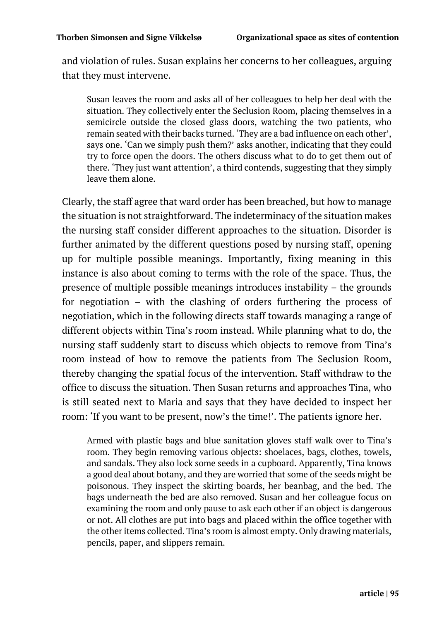and violation of rules. Susan explains her concerns to her colleagues, arguing that they must intervene.

Susan leaves the room and asks all of her colleagues to help her deal with the situation. They collectively enter the Seclusion Room, placing themselves in a semicircle outside the closed glass doors, watching the two patients, who remain seated with their backs turned. 'They are a bad influence on each other', says one. 'Can we simply push them?' asks another, indicating that they could try to force open the doors. The others discuss what to do to get them out of there. 'They just want attention', a third contends, suggesting that they simply leave them alone.

Clearly, the staff agree that ward order has been breached, but how to manage the situation is not straightforward. The indeterminacy of the situation makes the nursing staff consider different approaches to the situation. Disorder is further animated by the different questions posed by nursing staff, opening up for multiple possible meanings. Importantly, fixing meaning in this instance is also about coming to terms with the role of the space. Thus, the presence of multiple possible meanings introduces instability – the grounds for negotiation – with the clashing of orders furthering the process of negotiation, which in the following directs staff towards managing a range of different objects within Tina's room instead. While planning what to do, the nursing staff suddenly start to discuss which objects to remove from Tina's room instead of how to remove the patients from The Seclusion Room, thereby changing the spatial focus of the intervention. Staff withdraw to the office to discuss the situation. Then Susan returns and approaches Tina, who is still seated next to Maria and says that they have decided to inspect her room: 'If you want to be present, now's the time!'. The patients ignore her.

Armed with plastic bags and blue sanitation gloves staff walk over to Tina's room. They begin removing various objects: shoelaces, bags, clothes, towels, and sandals. They also lock some seeds in a cupboard. Apparently, Tina knows a good deal about botany, and they are worried that some of the seeds might be poisonous. They inspect the skirting boards, her beanbag, and the bed. The bags underneath the bed are also removed. Susan and her colleague focus on examining the room and only pause to ask each other if an object is dangerous or not. All clothes are put into bags and placed within the office together with the other items collected. Tina's room is almost empty. Only drawing materials, pencils, paper, and slippers remain.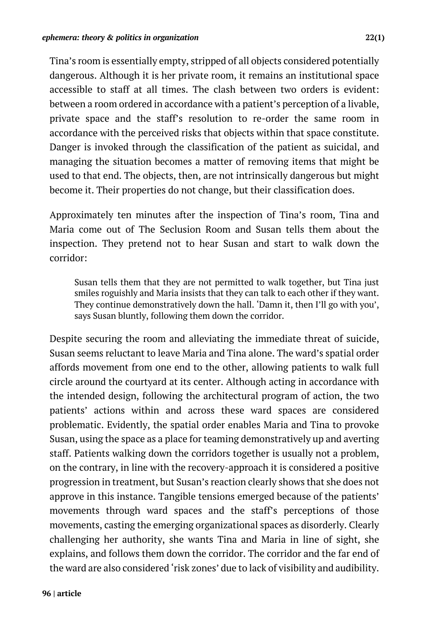Tina's room is essentially empty, stripped of all objects considered potentially dangerous. Although it is her private room, it remains an institutional space accessible to staff at all times. The clash between two orders is evident: between a room ordered in accordance with a patient's perception of a livable, private space and the staff's resolution to re-order the same room in accordance with the perceived risks that objects within that space constitute. Danger is invoked through the classification of the patient as suicidal, and managing the situation becomes a matter of removing items that might be used to that end. The objects, then, are not intrinsically dangerous but might become it. Their properties do not change, but their classification does.

Approximately ten minutes after the inspection of Tina's room, Tina and Maria come out of The Seclusion Room and Susan tells them about the inspection. They pretend not to hear Susan and start to walk down the corridor:

Susan tells them that they are not permitted to walk together, but Tina just smiles roguishly and Maria insists that they can talk to each other if they want. They continue demonstratively down the hall. 'Damn it, then I'll go with you', says Susan bluntly, following them down the corridor.

Despite securing the room and alleviating the immediate threat of suicide, Susan seems reluctant to leave Maria and Tina alone. The ward's spatial order affords movement from one end to the other, allowing patients to walk full circle around the courtyard at its center. Although acting in accordance with the intended design, following the architectural program of action, the two patients' actions within and across these ward spaces are considered problematic. Evidently, the spatial order enables Maria and Tina to provoke Susan, using the space as a place for teaming demonstratively up and averting staff. Patients walking down the corridors together is usually not a problem, on the contrary, in line with the recovery-approach it is considered a positive progression in treatment, but Susan's reaction clearly shows that she does not approve in this instance. Tangible tensions emerged because of the patients' movements through ward spaces and the staff's perceptions of those movements, casting the emerging organizational spaces as disorderly. Clearly challenging her authority, she wants Tina and Maria in line of sight, she explains, and follows them down the corridor. The corridor and the far end of the ward are also considered 'risk zones' due to lack of visibility and audibility.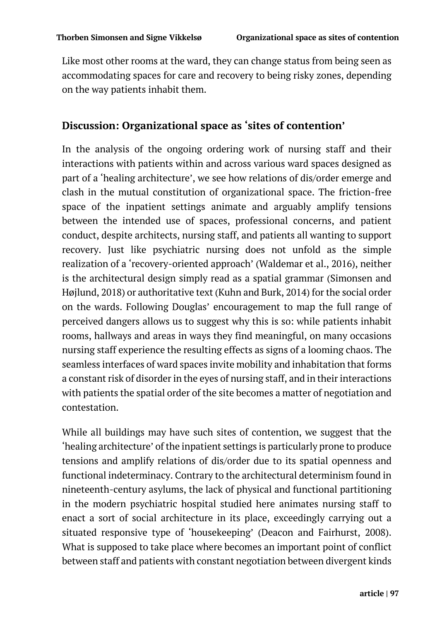Like most other rooms at the ward, they can change status from being seen as accommodating spaces for care and recovery to being risky zones, depending on the way patients inhabit them.

## **Discussion: Organizational space as 'sites of contention'**

In the analysis of the ongoing ordering work of nursing staff and their interactions with patients within and across various ward spaces designed as part of a 'healing architecture', we see how relations of dis/order emerge and clash in the mutual constitution of organizational space. The friction-free space of the inpatient settings animate and arguably amplify tensions between the intended use of spaces, professional concerns, and patient conduct, despite architects, nursing staff, and patients all wanting to support recovery. Just like psychiatric nursing does not unfold as the simple realization of a 'recovery-oriented approach' (Waldemar et al., 2016), neither is the architectural design simply read as a spatial grammar (Simonsen and Højlund, 2018) or authoritative text (Kuhn and Burk, 2014) for the social order on the wards. Following Douglas' encouragement to map the full range of perceived dangers allows us to suggest why this is so: while patients inhabit rooms, hallways and areas in ways they find meaningful, on many occasions nursing staff experience the resulting effects as signs of a looming chaos. The seamless interfaces of ward spaces invite mobility and inhabitation that forms a constant risk of disorder in the eyes of nursing staff, and in their interactions with patients the spatial order of the site becomes a matter of negotiation and contestation.

While all buildings may have such sites of contention, we suggest that the 'healing architecture' of the inpatient settings is particularly prone to produce tensions and amplify relations of dis/order due to its spatial openness and functional indeterminacy. Contrary to the architectural determinism found in nineteenth-century asylums, the lack of physical and functional partitioning in the modern psychiatric hospital studied here animates nursing staff to enact a sort of social architecture in its place, exceedingly carrying out a situated responsive type of 'housekeeping' (Deacon and Fairhurst, 2008). What is supposed to take place where becomes an important point of conflict between staff and patients with constant negotiation between divergent kinds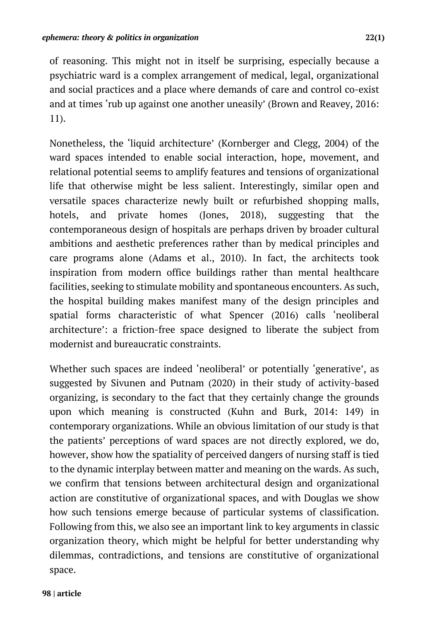of reasoning. This might not in itself be surprising, especially because a psychiatric ward is a complex arrangement of medical, legal, organizational and social practices and a place where demands of care and control co-exist and at times 'rub up against one another uneasily' (Brown and Reavey, 2016: 11).

Nonetheless, the 'liquid architecture' (Kornberger and Clegg, 2004) of the ward spaces intended to enable social interaction, hope, movement, and relational potential seems to amplify features and tensions of organizational life that otherwise might be less salient. Interestingly, similar open and versatile spaces characterize newly built or refurbished shopping malls, hotels, and private homes (Jones, 2018), suggesting that the contemporaneous design of hospitals are perhaps driven by broader cultural ambitions and aesthetic preferences rather than by medical principles and care programs alone (Adams et al., 2010). In fact, the architects took inspiration from modern office buildings rather than mental healthcare facilities, seeking to stimulate mobility and spontaneous encounters. As such, the hospital building makes manifest many of the design principles and spatial forms characteristic of what Spencer (2016) calls 'neoliberal architecture': a friction-free space designed to liberate the subject from modernist and bureaucratic constraints.

Whether such spaces are indeed 'neoliberal' or potentially 'generative', as suggested by Sivunen and Putnam (2020) in their study of activity-based organizing, is secondary to the fact that they certainly change the grounds upon which meaning is constructed (Kuhn and Burk, 2014: 149) in contemporary organizations. While an obvious limitation of our study is that the patients' perceptions of ward spaces are not directly explored, we do, however, show how the spatiality of perceived dangers of nursing staff is tied to the dynamic interplay between matter and meaning on the wards. As such, we confirm that tensions between architectural design and organizational action are constitutive of organizational spaces, and with Douglas we show how such tensions emerge because of particular systems of classification. Following from this, we also see an important link to key arguments in classic organization theory, which might be helpful for better understanding why dilemmas, contradictions, and tensions are constitutive of organizational space.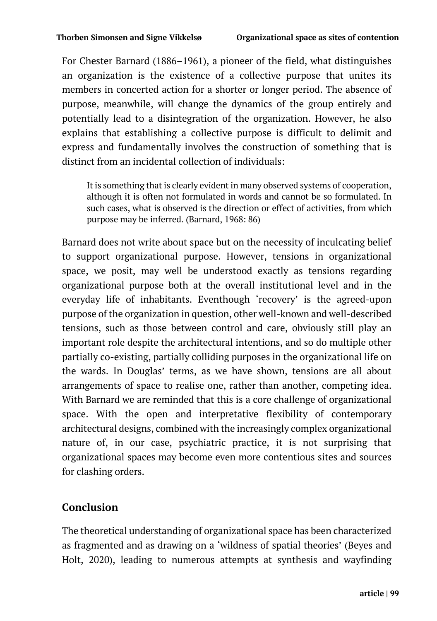For Chester Barnard (1886–1961), a pioneer of the field, what distinguishes an organization is the existence of a collective purpose that unites its members in concerted action for a shorter or longer period. The absence of purpose, meanwhile, will change the dynamics of the group entirely and potentially lead to a disintegration of the organization. However, he also explains that establishing a collective purpose is difficult to delimit and express and fundamentally involves the construction of something that is distinct from an incidental collection of individuals:

It is something that is clearly evident in many observed systems of cooperation, although it is often not formulated in words and cannot be so formulated. In such cases, what is observed is the direction or effect of activities, from which purpose may be inferred. (Barnard, 1968: 86)

Barnard does not write about space but on the necessity of inculcating belief to support organizational purpose. However, tensions in organizational space, we posit, may well be understood exactly as tensions regarding organizational purpose both at the overall institutional level and in the everyday life of inhabitants. Eventhough 'recovery' is the agreed-upon purpose of the organization in question, other well-known and well-described tensions, such as those between control and care, obviously still play an important role despite the architectural intentions, and so do multiple other partially co-existing, partially colliding purposes in the organizational life on the wards. In Douglas' terms, as we have shown, tensions are all about arrangements of space to realise one, rather than another, competing idea. With Barnard we are reminded that this is a core challenge of organizational space. With the open and interpretative flexibility of contemporary architectural designs, combined with the increasingly complex organizational nature of, in our case, psychiatric practice, it is not surprising that organizational spaces may become even more contentious sites and sources for clashing orders.

# **Conclusion**

The theoretical understanding of organizational space has been characterized as fragmented and as drawing on a 'wildness of spatial theories' (Beyes and Holt, 2020), leading to numerous attempts at synthesis and wayfinding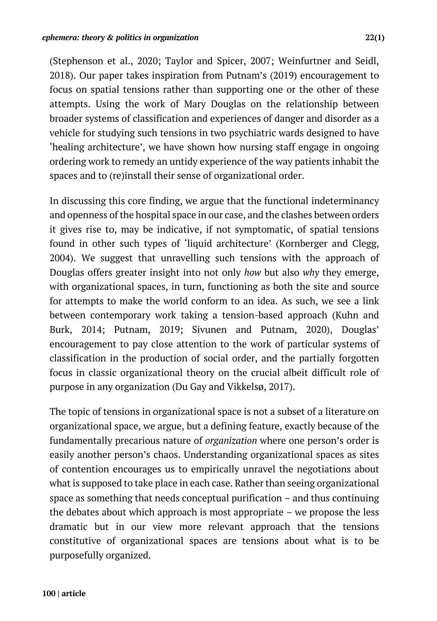(Stephenson et al., 2020; Taylor and Spicer, 2007; Weinfurtner and Seidl, 2018). Our paper takes inspiration from Putnam's (2019) encouragement to focus on spatial tensions rather than supporting one or the other of these attempts. Using the work of Mary Douglas on the relationship between broader systems of classification and experiences of danger and disorder as a vehicle for studying such tensions in two psychiatric wards designed to have 'healing architecture', we have shown how nursing staff engage in ongoing ordering work to remedy an untidy experience of the way patients inhabit the spaces and to (re)install their sense of organizational order.

In discussing this core finding, we argue that the functional indeterminancy and openness of the hospital space in our case, and the clashes between orders it gives rise to, may be indicative, if not symptomatic, of spatial tensions found in other such types of 'liquid architecture' (Kornberger and Clegg, 2004). We suggest that unravelling such tensions with the approach of Douglas offers greater insight into not only *how* but also *why* they emerge, with organizational spaces, in turn, functioning as both the site and source for attempts to make the world conform to an idea. As such, we see a link between contemporary work taking a tension-based approach (Kuhn and Burk, 2014; Putnam, 2019; Sivunen and Putnam, 2020), Douglas' encouragement to pay close attention to the work of particular systems of classification in the production of social order, and the partially forgotten focus in classic organizational theory on the crucial albeit difficult role of purpose in any organization (Du Gay and Vikkelsø, 2017).

The topic of tensions in organizational space is not a subset of a literature on organizational space, we argue, but a defining feature, exactly because of the fundamentally precarious nature of *organization* where one person's order is easily another person's chaos. Understanding organizational spaces as sites of contention encourages us to empirically unravel the negotiations about what is supposed to take place in each case. Rather than seeing organizational space as something that needs conceptual purification – and thus continuing the debates about which approach is most appropriate – we propose the less dramatic but in our view more relevant approach that the tensions constitutive of organizational spaces are tensions about what is to be purposefully organized.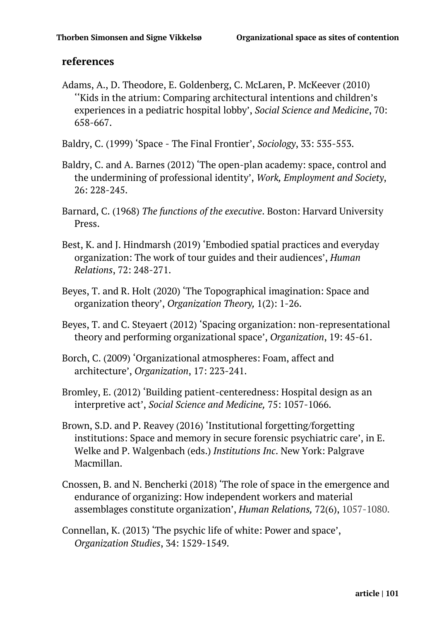#### **references**

Adams, A., D. Theodore, E. Goldenberg, C. McLaren, P. McKeever (2010) ''Kids in the atrium: Comparing architectural intentions and children's experiences in a pediatric hospital lobby', *Social Science and Medicine*, 70: 658-667.

Baldry, C. (1999) 'Space - The Final Frontier', *Sociology*, 33: 535-553.

- Baldry, C. and A. Barnes (2012) 'The open-plan academy: space, control and the undermining of professional identity', *Work, Employment and Society*, 26: 228-245.
- Barnard, C. (1968) *The functions of the executive*. Boston: Harvard University Press.
- Best, K. and J. Hindmarsh (2019) 'Embodied spatial practices and everyday organization: The work of tour guides and their audiences', *Human Relations*, 72: 248-271.
- Beyes, T. and R. Holt (2020) 'The Topographical imagination: Space and organization theory', *Organization Theory,* 1(2): 1-26.
- Beyes, T. and C. Steyaert (2012) 'Spacing organization: non-representational theory and performing organizational space', *Organization*, 19: 45-61.
- Borch, C. (2009) 'Organizational atmospheres: Foam, affect and architecture', *Organization*, 17: 223-241.
- Bromley, E. (2012) 'Building patient-centeredness: Hospital design as an interpretive act', *Social Science and Medicine,* 75: 1057-1066.
- Brown, S.D. and P. Reavey (2016) 'Institutional forgetting/forgetting institutions: Space and memory in secure forensic psychiatric care', in E. Welke and P. Walgenbach (eds.) *Institutions Inc*. New York: Palgrave Macmillan.
- Cnossen, B. and N. Bencherki (2018) 'The role of space in the emergence and endurance of organizing: How independent workers and material assemblages constitute organization', *Human Relations,* 72(6), 1057-1080.
- Connellan, K. (2013) 'The psychic life of white: Power and space', *Organization Studies*, 34: 1529-1549.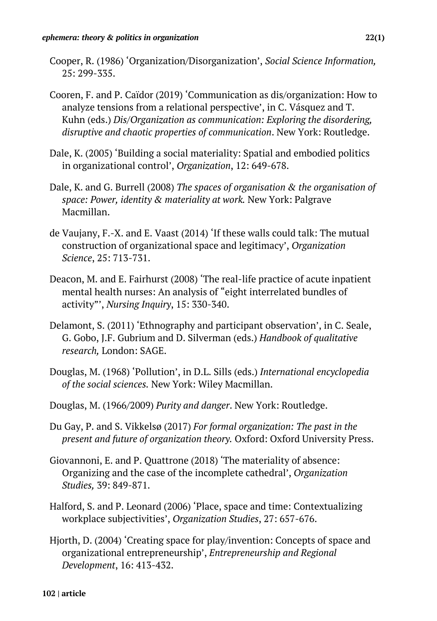- Cooper, R. (1986) 'Organization/Disorganization', *Social Science Information,* 25: 299-335.
- Cooren, F. and P. Caïdor (2019) 'Communication as dis/organization: How to analyze tensions from a relational perspective', in C. Vásquez and T. Kuhn (eds.) *Dis/Organization as communication: Exploring the disordering, disruptive and chaotic properties of communication*. New York: Routledge.
- Dale, K. (2005) 'Building a social materiality: Spatial and embodied politics in organizational control', *Organization*, 12: 649-678.
- Dale, K. and G. Burrell (2008) *The spaces of organisation & the organisation of space: Power, identity & materiality at work.* New York: Palgrave Macmillan.
- de Vaujany, F.-X. and E. Vaast (2014) 'If these walls could talk: The mutual construction of organizational space and legitimacy', *Organization Science*, 25: 713-731.
- Deacon, M. and E. Fairhurst (2008) 'The real-life practice of acute inpatient mental health nurses: An analysis of "eight interrelated bundles of activity"', *Nursing Inquiry*, 15: 330-340.
- Delamont, S. (2011) 'Ethnography and participant observation', in C. Seale, G. Gobo, J.F. Gubrium and D. Silverman (eds.) *Handbook of qualitative research,* London: SAGE.
- Douglas, M. (1968) 'Pollution', in D.L. Sills (eds.) *International encyclopedia of the social sciences.* New York: Wiley Macmillan.
- Douglas, M. (1966/2009) *Purity and danger*. New York: Routledge.
- Du Gay, P. and S. Vikkelsø (2017) *For formal organization: The past in the present and future of organization theory.* Oxford: Oxford University Press.
- Giovannoni, E. and P. Quattrone (2018) 'The materiality of absence: Organizing and the case of the incomplete cathedral', *Organization Studies,* 39: 849-871.
- Halford, S. and P. Leonard (2006) 'Place, space and time: Contextualizing workplace subjectivities', *Organization Studies*, 27: 657-676.
- Hjorth, D. (2004) 'Creating space for play/invention: Concepts of space and organizational entrepreneurship', *Entrepreneurship and Regional Development*, 16: 413-432.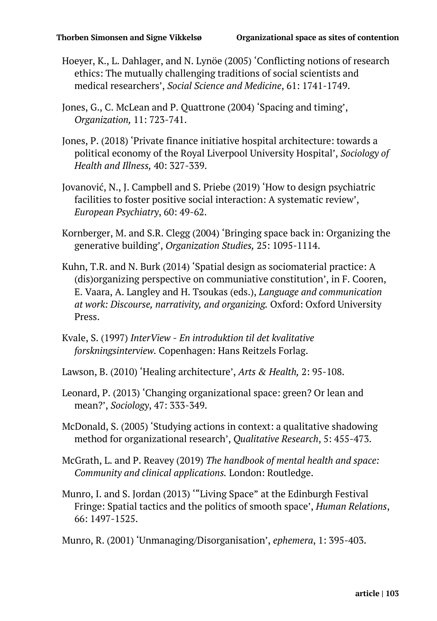- Hoeyer, K., L. Dahlager, and N. Lynöe (2005) 'Conflicting notions of research ethics: The mutually challenging traditions of social scientists and medical researchers', *Social Science and Medicine*, 61: 1741-1749.
- Jones, G., C. McLean and P. Quattrone (2004) 'Spacing and timing', *Organization,* 11: 723-741.
- Jones, P. (2018) 'Private finance initiative hospital architecture: towards a political economy of the Royal Liverpool University Hospital', *Sociology of Health and Illness,* 40: 327-339.
- Jovanović, N., J. Campbell and S. Priebe (2019) 'How to design psychiatric facilities to foster positive social interaction: A systematic review', *European Psychiatry*, 60: 49-62.
- Kornberger, M. and S.R. Clegg (2004) 'Bringing space back in: Organizing the generative building', *Organization Studies,* 25: 1095-1114.
- Kuhn, T.R. and N. Burk (2014) 'Spatial design as sociomaterial practice: A (dis)organizing perspective on communiative constitution', in F. Cooren, E. Vaara, A. Langley and H. Tsoukas (eds.), *Language and communication at work: Discourse, narrativity, and organizing.* Oxford: Oxford University Press.
- Kvale, S. (1997) *InterView - En introduktion til det kvalitative forskningsinterview.* Copenhagen: Hans Reitzels Forlag.
- Lawson, B. (2010) 'Healing architecture', *Arts & Health,* 2: 95-108.
- Leonard, P. (2013) 'Changing organizational space: green? Or lean and mean?', *Sociology*, 47: 333-349.
- McDonald, S. (2005) 'Studying actions in context: a qualitative shadowing method for organizational research', *Qualitative Research*, 5: 455-473.
- McGrath, L. and P. Reavey (2019) *The handbook of mental health and space: Community and clinical applications.* London: Routledge.
- Munro, I. and S. Jordan (2013) '"Living Space" at the Edinburgh Festival Fringe: Spatial tactics and the politics of smooth space', *Human Relations*, 66: 1497-1525.

Munro, R. (2001) 'Unmanaging/Disorganisation', *ephemera*, 1: 395-403.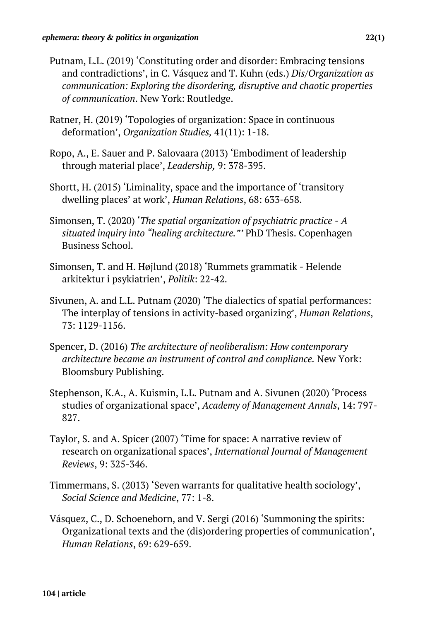- Putnam, L.L. (2019) 'Constituting order and disorder: Embracing tensions and contradictions', in C. Vásquez and T. Kuhn (eds.) *Dis/Organization as communication: Exploring the disordering, disruptive and chaotic properties of communication*. New York: Routledge.
- Ratner, H. (2019) 'Topologies of organization: Space in continuous deformation', *Organization Studies,* 41(11): 1-18.
- Ropo, A., E. Sauer and P. Salovaara (2013) 'Embodiment of leadership through material place', *Leadership,* 9: 378-395.
- Shortt, H. (2015) 'Liminality, space and the importance of 'transitory dwelling places' at work', *Human Relations*, 68: 633-658.
- Simonsen, T. (2020) '*The spatial organization of psychiatric practice - A situated inquiry into "healing architecture."'* PhD Thesis. Copenhagen Business School.
- Simonsen, T. and H. Højlund (2018) 'Rummets grammatik Helende arkitektur i psykiatrien', *Politik*: 22-42.
- Sivunen, A. and L.L. Putnam (2020) 'The dialectics of spatial performances: The interplay of tensions in activity-based organizing', *Human Relations*, 73: 1129-1156.
- Spencer, D. (2016) *The architecture of neoliberalism: How contemporary architecture became an instrument of control and compliance.* New York: Bloomsbury Publishing.
- Stephenson, K.A., A. Kuismin, L.L. Putnam and A. Sivunen (2020) 'Process studies of organizational space', *Academy of Management Annals*, 14: 797- 827.
- Taylor, S. and A. Spicer (2007) 'Time for space: A narrative review of research on organizational spaces', *International Journal of Management Reviews*, 9: 325-346.
- Timmermans, S. (2013) 'Seven warrants for qualitative health sociology', *Social Science and Medicine*, 77: 1-8.
- Vásquez, C., D. Schoeneborn, and V. Sergi (2016) 'Summoning the spirits: Organizational texts and the (dis)ordering properties of communication', *Human Relations*, 69: 629-659.